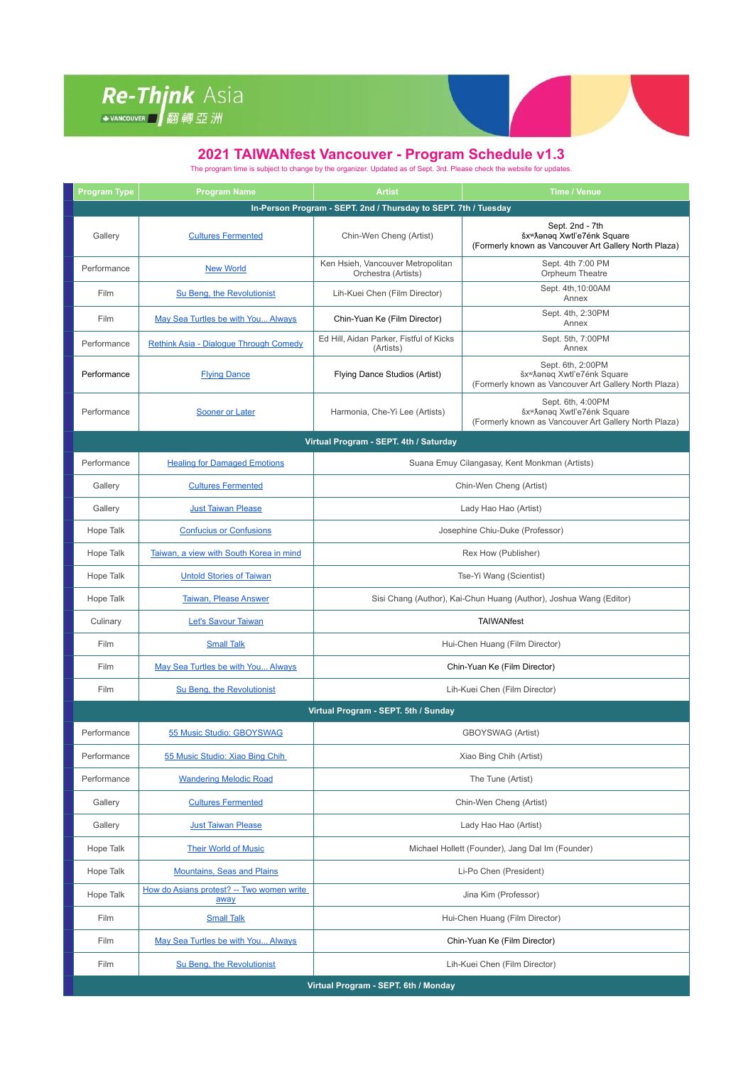## Re-Thjnk Asia

## **2021 TAIWANfest Vancouver - Program Schedule v1.3**

The program time is subject to change by the organizer. Updated as of Sept. 3rd. Please check the website for updates.

| <b>Program Type</b>                                             | <b>Program Name</b>                               | <b>Artist</b>                                                      | <b>Time / Venue</b>                                                                                                   |  |  |
|-----------------------------------------------------------------|---------------------------------------------------|--------------------------------------------------------------------|-----------------------------------------------------------------------------------------------------------------------|--|--|
| In-Person Program - SEPT. 2nd / Thursday to SEPT. 7th / Tuesday |                                                   |                                                                    |                                                                                                                       |  |  |
| Gallery                                                         | <b>Cultures Fermented</b>                         | Chin-Wen Cheng (Artist)                                            | Sept. 2nd - 7th<br>šx <sup>w</sup> Aanaq Xwtl'e7énk Square<br>(Formerly known as Vancouver Art Gallery North Plaza)   |  |  |
| Performance                                                     | <b>New World</b>                                  | Ken Hsieh, Vancouver Metropolitan<br>Orchestra (Artists)           | Sept. 4th 7:00 PM<br>Orpheum Theatre                                                                                  |  |  |
| Film                                                            | Su Beng, the Revolutionist                        | Lih-Kuei Chen (Film Director)                                      | Sept. 4th, 10:00AM<br>Annex                                                                                           |  |  |
| Film                                                            | May Sea Turtles be with You Always                | Chin-Yuan Ke (Film Director)                                       | Sept. 4th, 2:30PM<br>Annex                                                                                            |  |  |
| Performance                                                     | <b>Rethink Asia - Dialogue Through Comedy</b>     | Ed Hill, Aidan Parker, Fistful of Kicks<br>(Artists)               | Sept. 5th, 7:00PM<br>Annex                                                                                            |  |  |
| Performance                                                     | <b>Flying Dance</b>                               | Flying Dance Studios (Artist)                                      | Sept. 6th, 2:00PM<br>šx <sup>w</sup> Aanaq Xwtl'e7énk Square<br>(Formerly known as Vancouver Art Gallery North Plaza) |  |  |
| Performance                                                     | Sooner or Later                                   | Harmonia, Che-Yi Lee (Artists)                                     | Sept. 6th, 4:00PM<br>šx <sup>w</sup> Aanaq Xwtl'e7énk Square<br>(Formerly known as Vancouver Art Gallery North Plaza) |  |  |
| Virtual Program - SEPT. 4th / Saturday                          |                                                   |                                                                    |                                                                                                                       |  |  |
| Performance                                                     | <b>Healing for Damaged Emotions</b>               | Suana Emuy Cilangasay, Kent Monkman (Artists)                      |                                                                                                                       |  |  |
| Gallery                                                         | <b>Cultures Fermented</b>                         | Chin-Wen Cheng (Artist)                                            |                                                                                                                       |  |  |
| Gallery                                                         | <b>Just Taiwan Please</b>                         | Lady Hao Hao (Artist)                                              |                                                                                                                       |  |  |
| Hope Talk                                                       | <b>Confucius or Confusions</b>                    | Josephine Chiu-Duke (Professor)                                    |                                                                                                                       |  |  |
| Hope Talk                                                       | Taiwan, a view with South Korea in mind           | Rex How (Publisher)                                                |                                                                                                                       |  |  |
| Hope Talk                                                       | <b>Untold Stories of Taiwan</b>                   | Tse-Yi Wang (Scientist)                                            |                                                                                                                       |  |  |
| Hope Talk                                                       | <b>Taiwan, Please Answer</b>                      | Sisi Chang (Author), Kai-Chun Huang (Author), Joshua Wang (Editor) |                                                                                                                       |  |  |
| Culinary                                                        | Let's Savour Taiwan                               | <b>TAIWANfest</b>                                                  |                                                                                                                       |  |  |
| Film                                                            | <b>Small Talk</b>                                 | Hui-Chen Huang (Film Director)                                     |                                                                                                                       |  |  |
| Film                                                            | May Sea Turtles be with You Always                | Chin-Yuan Ke (Film Director)                                       |                                                                                                                       |  |  |
| Film                                                            | Su Beng, the Revolutionist                        | Lih-Kuei Chen (Film Director)                                      |                                                                                                                       |  |  |
| Virtual Program - SEPT. 5th / Sunday                            |                                                   |                                                                    |                                                                                                                       |  |  |
| Performance                                                     | 55 Music Studio: GBOYSWAG                         | <b>GBOYSWAG</b> (Artist)                                           |                                                                                                                       |  |  |
| Performance                                                     | 55 Music Studio: Xiao Bing Chih                   | Xiao Bing Chih (Artist)                                            |                                                                                                                       |  |  |
| Performance                                                     | <b>Wandering Melodic Road</b>                     | The Tune (Artist)                                                  |                                                                                                                       |  |  |
| Gallery                                                         | <b>Cultures Fermented</b>                         | Chin-Wen Cheng (Artist)                                            |                                                                                                                       |  |  |
| Gallery                                                         | <b>Just Taiwan Please</b>                         | Lady Hao Hao (Artist)                                              |                                                                                                                       |  |  |
| Hope Talk                                                       | <b>Their World of Music</b>                       | Michael Hollett (Founder), Jang Dal Im (Founder)                   |                                                                                                                       |  |  |
| Hope Talk                                                       | <b>Mountains, Seas and Plains</b>                 | Li-Po Chen (President)                                             |                                                                                                                       |  |  |
| Hope Talk                                                       | How do Asians protest? -- Two women write<br>away | Jina Kim (Professor)                                               |                                                                                                                       |  |  |
| Film                                                            | <b>Small Talk</b>                                 | Hui-Chen Huang (Film Director)                                     |                                                                                                                       |  |  |
| Film                                                            | May Sea Turtles be with You Always                | Chin-Yuan Ke (Film Director)                                       |                                                                                                                       |  |  |
| Film                                                            | Su Beng, the Revolutionist                        |                                                                    | Lih-Kuei Chen (Film Director)                                                                                         |  |  |
| Virtual Program - SEPT. 6th / Monday                            |                                                   |                                                                    |                                                                                                                       |  |  |